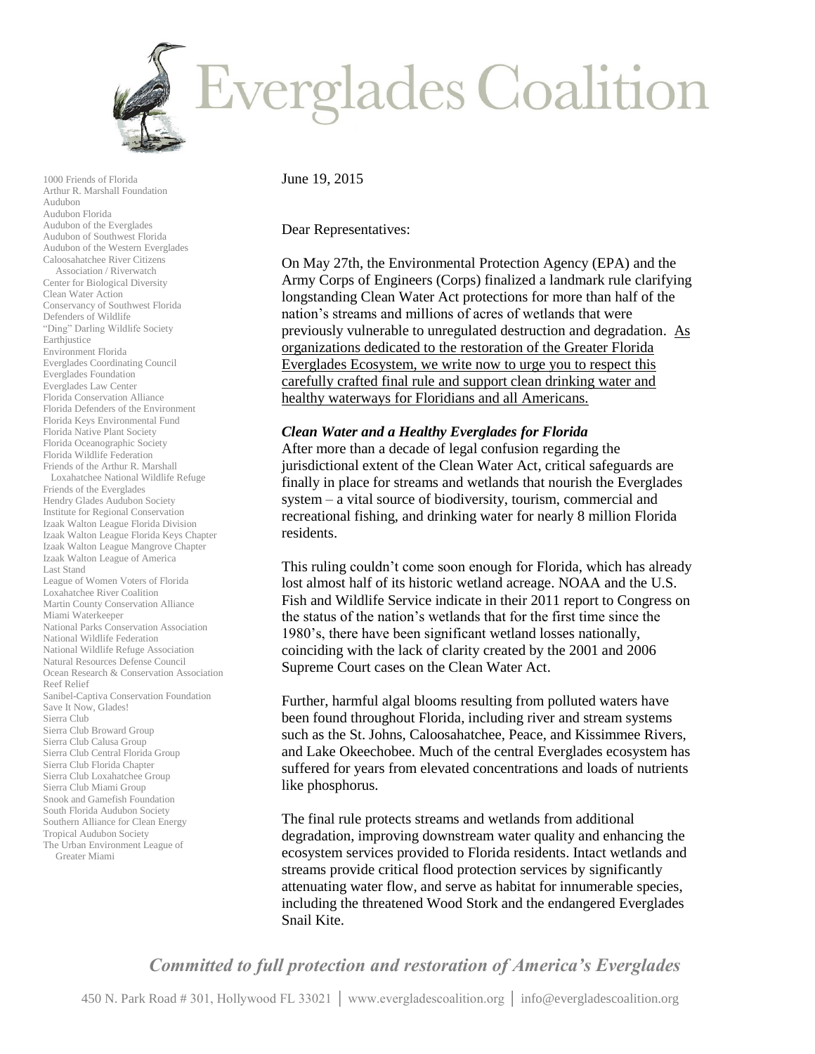

1000 Friends of Florida Arthur R. Marshall Foundation Audubon Audubon Florida Audubon of the Everglades Audubon of Southwest Florida Audubon of the Western Everglades Caloosahatchee River Citizens Association / Riverwatch Center for Biological Diversity Clean Water Action Conservancy of Southwest Florida Defenders of Wildlife "Ding" Darling Wildlife Society Earthjustice Environment Florida Everglades Coordinating Council Everglades Foundation Everglades Law Center Florida Conservation Alliance Florida Defenders of the Environment Florida Keys Environmental Fund Florida Native Plant Society Florida Oceanographic Society Florida Wildlife Federation Friends of the Arthur R. Marshall Loxahatchee National Wildlife Refuge Friends of the Everglades Hendry Glades Audubon Society Institute for Regional Conservation Izaak Walton League Florida Division Izaak Walton League Florida Keys Chapter Izaak Walton League Mangrove Chapter Izaak Walton League of America Last Stand League of Women Voters of Florida Loxahatchee River Coalition Martin County Conservation Alliance Miami Waterkeeper National Parks Conservation Association National Wildlife Federation National Wildlife Refuge Association Natural Resources Defense Council Ocean Research & Conservation Association Reef Relief Sanibel-Captiva Conservation Foundation Save It Now, Glades! Sierra Club Sierra Club Broward Group Sierra Club Calusa Group Sierra Club Central Florida Group Sierra Club Florida Chapter Sierra Club Loxahatchee Group Sierra Club Miami Group Snook and Gamefish Foundation South Florida Audubon Society Southern Alliance for Clean Energy Tropical Audubon Society The Urban Environment League of Greater Miami

June 19, 2015

Dear Representatives:

On May 27th, the Environmental Protection Agency (EPA) and the Army Corps of Engineers (Corps) finalized a landmark rule clarifying longstanding Clean Water Act protections for more than half of the nation's streams and millions of acres of wetlands that were previously vulnerable to unregulated destruction and degradation. As organizations dedicated to the restoration of the Greater Florida Everglades Ecosystem, we write now to urge you to respect this carefully crafted final rule and support clean drinking water and healthy waterways for Floridians and all Americans.

## *Clean Water and a Healthy Everglades for Florida*

After more than a decade of legal confusion regarding the jurisdictional extent of the Clean Water Act, critical safeguards are finally in place for streams and wetlands that nourish the Everglades system – a vital source of biodiversity, tourism, commercial and recreational fishing, and drinking water for nearly 8 million Florida residents.

This ruling couldn't come soon enough for Florida, which has already lost almost half of its historic wetland acreage. NOAA and the U.S. Fish and Wildlife Service indicate in their 2011 report to Congress on the status of the nation's wetlands that for the first time since the 1980's, there have been significant wetland losses nationally, coinciding with the lack of clarity created by the 2001 and 2006 Supreme Court cases on the Clean Water Act.

Further, harmful algal blooms resulting from polluted waters have been found throughout Florida, including river and stream systems such as the St. Johns, Caloosahatchee, Peace, and Kissimmee Rivers, and Lake Okeechobee. Much of the central Everglades ecosystem has suffered for years from elevated concentrations and loads of nutrients like phosphorus.

The final rule protects streams and wetlands from additional degradation, improving downstream water quality and enhancing the ecosystem services provided to Florida residents. Intact wetlands and streams provide critical flood protection services by significantly attenuating water flow, and serve as habitat for innumerable species, including the threatened Wood Stork and the endangered Everglades Snail Kite.

*Committed to full protection and restoration of America's Everglades*